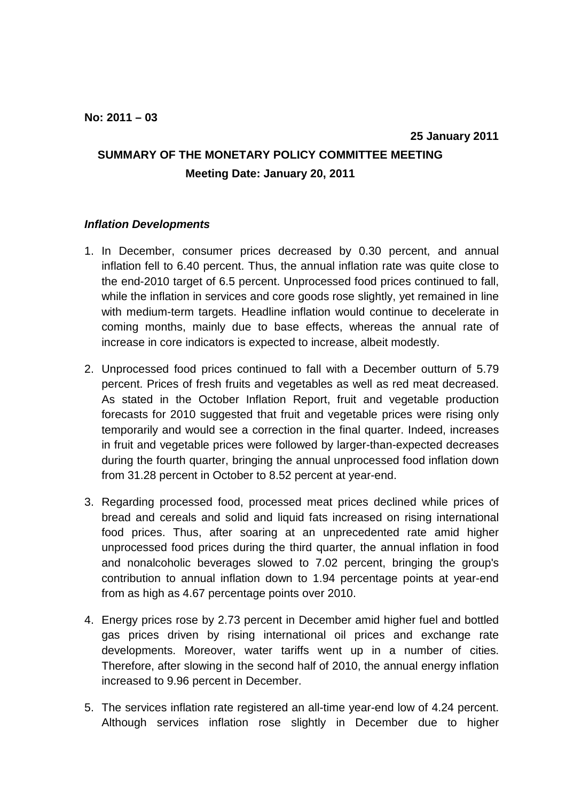## **SUMMARY OF THE MONETARY POLICY COMMITTEE MEETING Meeting Date: January 20, 2011**

## **Inflation Developments**

- 1. In December, consumer prices decreased by 0.30 percent, and annual inflation fell to 6.40 percent. Thus, the annual inflation rate was quite close to the end-2010 target of 6.5 percent. Unprocessed food prices continued to fall, while the inflation in services and core goods rose slightly, yet remained in line with medium-term targets. Headline inflation would continue to decelerate in coming months, mainly due to base effects, whereas the annual rate of increase in core indicators is expected to increase, albeit modestly.
- 2. Unprocessed food prices continued to fall with a December outturn of 5.79 percent. Prices of fresh fruits and vegetables as well as red meat decreased. As stated in the October Inflation Report, fruit and vegetable production forecasts for 2010 suggested that fruit and vegetable prices were rising only temporarily and would see a correction in the final quarter. Indeed, increases in fruit and vegetable prices were followed by larger-than-expected decreases during the fourth quarter, bringing the annual unprocessed food inflation down from 31.28 percent in October to 8.52 percent at year-end.
- 3. Regarding processed food, processed meat prices declined while prices of bread and cereals and solid and liquid fats increased on rising international food prices. Thus, after soaring at an unprecedented rate amid higher unprocessed food prices during the third quarter, the annual inflation in food and nonalcoholic beverages slowed to 7.02 percent, bringing the group's contribution to annual inflation down to 1.94 percentage points at year-end from as high as 4.67 percentage points over 2010.
- 4. Energy prices rose by 2.73 percent in December amid higher fuel and bottled gas prices driven by rising international oil prices and exchange rate developments. Moreover, water tariffs went up in a number of cities. Therefore, after slowing in the second half of 2010, the annual energy inflation increased to 9.96 percent in December.
- 5. The services inflation rate registered an all-time year-end low of 4.24 percent. Although services inflation rose slightly in December due to higher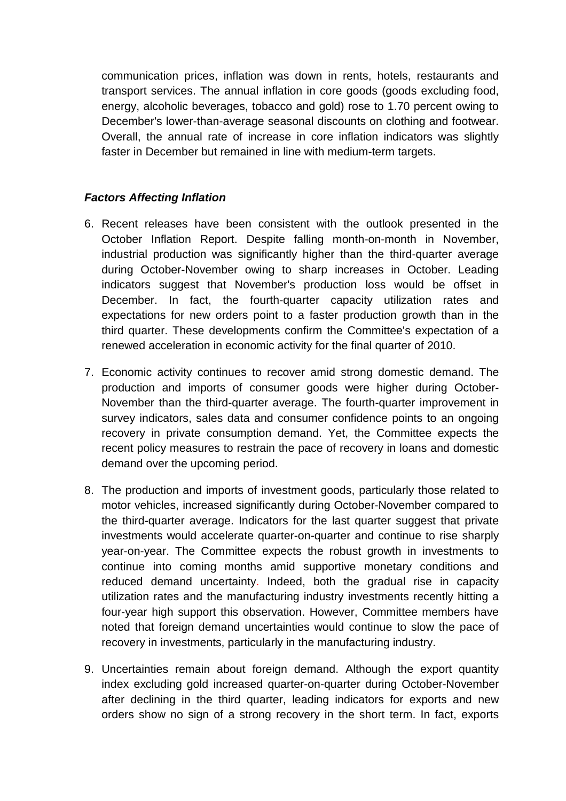communication prices, inflation was down in rents, hotels, restaurants and transport services. The annual inflation in core goods (goods excluding food, energy, alcoholic beverages, tobacco and gold) rose to 1.70 percent owing to December's lower-than-average seasonal discounts on clothing and footwear. Overall, the annual rate of increase in core inflation indicators was slightly faster in December but remained in line with medium-term targets.

## **Factors Affecting Inflation**

- 6. Recent releases have been consistent with the outlook presented in the October Inflation Report. Despite falling month-on-month in November, industrial production was significantly higher than the third-quarter average during October-November owing to sharp increases in October. Leading indicators suggest that November's production loss would be offset in December. In fact, the fourth-quarter capacity utilization rates and expectations for new orders point to a faster production growth than in the third quarter. These developments confirm the Committee's expectation of a renewed acceleration in economic activity for the final quarter of 2010.
- 7. Economic activity continues to recover amid strong domestic demand. The production and imports of consumer goods were higher during October-November than the third-quarter average. The fourth-quarter improvement in survey indicators, sales data and consumer confidence points to an ongoing recovery in private consumption demand. Yet, the Committee expects the recent policy measures to restrain the pace of recovery in loans and domestic demand over the upcoming period.
- 8. The production and imports of investment goods, particularly those related to motor vehicles, increased significantly during October-November compared to the third-quarter average. Indicators for the last quarter suggest that private investments would accelerate quarter-on-quarter and continue to rise sharply year-on-year. The Committee expects the robust growth in investments to continue into coming months amid supportive monetary conditions and reduced demand uncertainty. Indeed, both the gradual rise in capacity utilization rates and the manufacturing industry investments recently hitting a four-year high support this observation. However, Committee members have noted that foreign demand uncertainties would continue to slow the pace of recovery in investments, particularly in the manufacturing industry.
- 9. Uncertainties remain about foreign demand. Although the export quantity index excluding gold increased quarter-on-quarter during October-November after declining in the third quarter, leading indicators for exports and new orders show no sign of a strong recovery in the short term. In fact, exports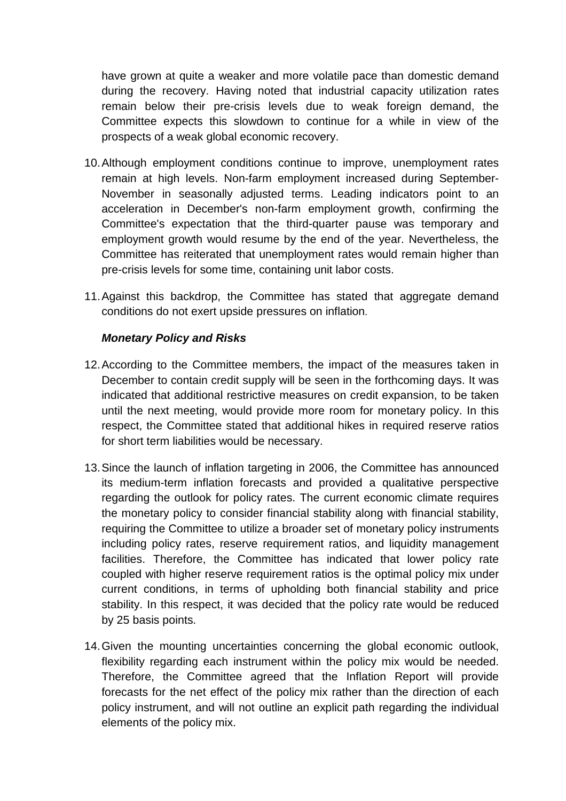have grown at quite a weaker and more volatile pace than domestic demand during the recovery. Having noted that industrial capacity utilization rates remain below their pre-crisis levels due to weak foreign demand, the Committee expects this slowdown to continue for a while in view of the prospects of a weak global economic recovery.

- 10. Although employment conditions continue to improve, unemployment rates remain at high levels. Non-farm employment increased during September-November in seasonally adjusted terms. Leading indicators point to an acceleration in December's non-farm employment growth, confirming the Committee's expectation that the third-quarter pause was temporary and employment growth would resume by the end of the year. Nevertheless, the Committee has reiterated that unemployment rates would remain higher than pre-crisis levels for some time, containing unit labor costs.
- 11. Against this backdrop, the Committee has stated that aggregate demand conditions do not exert upside pressures on inflation.

## **Monetary Policy and Risks**

- 12. According to the Committee members, the impact of the measures taken in December to contain credit supply will be seen in the forthcoming days. It was indicated that additional restrictive measures on credit expansion, to be taken until the next meeting, would provide more room for monetary policy. In this respect, the Committee stated that additional hikes in required reserve ratios for short term liabilities would be necessary.
- 13. Since the launch of inflation targeting in 2006, the Committee has announced its medium-term inflation forecasts and provided a qualitative perspective regarding the outlook for policy rates. The current economic climate requires the monetary policy to consider financial stability along with financial stability, requiring the Committee to utilize a broader set of monetary policy instruments including policy rates, reserve requirement ratios, and liquidity management facilities. Therefore, the Committee has indicated that lower policy rate coupled with higher reserve requirement ratios is the optimal policy mix under current conditions, in terms of upholding both financial stability and price stability. In this respect, it was decided that the policy rate would be reduced by 25 basis points.
- 14. Given the mounting uncertainties concerning the global economic outlook, flexibility regarding each instrument within the policy mix would be needed. Therefore, the Committee agreed that the Inflation Report will provide forecasts for the net effect of the policy mix rather than the direction of each policy instrument, and will not outline an explicit path regarding the individual elements of the policy mix.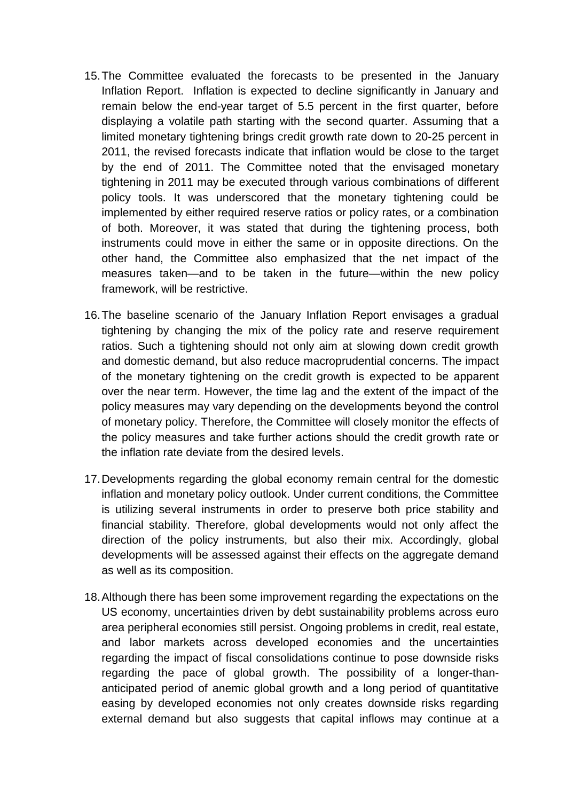- 15. The Committee evaluated the forecasts to be presented in the January Inflation Report. Inflation is expected to decline significantly in January and remain below the end-year target of 5.5 percent in the first quarter, before displaying a volatile path starting with the second quarter. Assuming that a limited monetary tightening brings credit growth rate down to 20-25 percent in 2011, the revised forecasts indicate that inflation would be close to the target by the end of 2011. The Committee noted that the envisaged monetary tightening in 2011 may be executed through various combinations of different policy tools. It was underscored that the monetary tightening could be implemented by either required reserve ratios or policy rates, or a combination of both. Moreover, it was stated that during the tightening process, both instruments could move in either the same or in opposite directions. On the other hand, the Committee also emphasized that the net impact of the measures taken—and to be taken in the future—within the new policy framework, will be restrictive.
- 16. The baseline scenario of the January Inflation Report envisages a gradual tightening by changing the mix of the policy rate and reserve requirement ratios. Such a tightening should not only aim at slowing down credit growth and domestic demand, but also reduce macroprudential concerns. The impact of the monetary tightening on the credit growth is expected to be apparent over the near term. However, the time lag and the extent of the impact of the policy measures may vary depending on the developments beyond the control of monetary policy. Therefore, the Committee will closely monitor the effects of the policy measures and take further actions should the credit growth rate or the inflation rate deviate from the desired levels.
- 17. Developments regarding the global economy remain central for the domestic inflation and monetary policy outlook. Under current conditions, the Committee is utilizing several instruments in order to preserve both price stability and financial stability. Therefore, global developments would not only affect the direction of the policy instruments, but also their mix. Accordingly, global developments will be assessed against their effects on the aggregate demand as well as its composition.
- 18. Although there has been some improvement regarding the expectations on the US economy, uncertainties driven by debt sustainability problems across euro area peripheral economies still persist. Ongoing problems in credit, real estate, and labor markets across developed economies and the uncertainties regarding the impact of fiscal consolidations continue to pose downside risks regarding the pace of global growth. The possibility of a longer-thananticipated period of anemic global growth and a long period of quantitative easing by developed economies not only creates downside risks regarding external demand but also suggests that capital inflows may continue at a